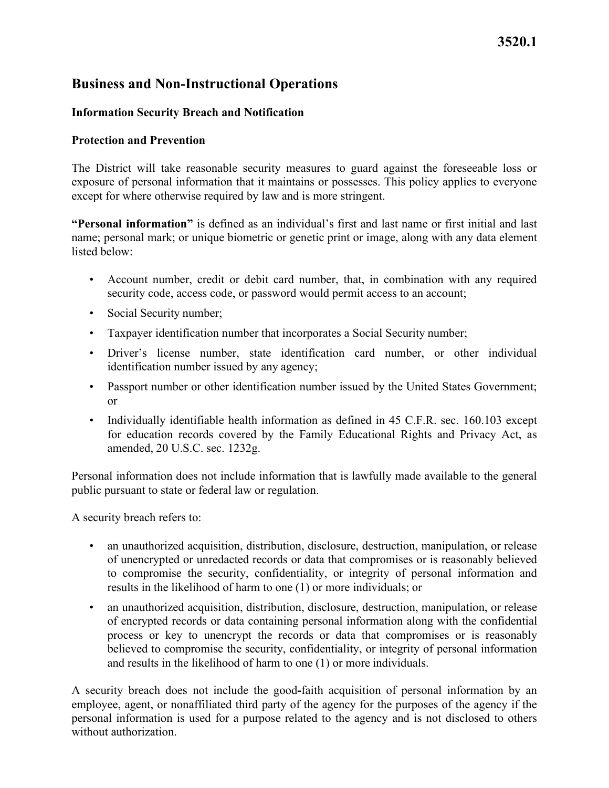# **3520.1**

# **Business and Non-Instructional Operations**

## **Information Security Breach and Notification**

#### **Protection and Prevention**

The District will take reasonable security measures to guard against the foreseeable loss or exposure of personal information that it maintains or possesses. This policy applies to everyone except for where otherwise required by law and is more stringent.

**"Personal information"** is defined as an individual's first and last name or first initial and last name; personal mark; or unique biometric or genetic print or image, along with any data element listed below:

- security code, access code, or password would permit access to an account; • Account number, credit or debit card number, that, in combination with any required
- Social Security number;
- Taxpayer identification number that incorporates a Social Security number;
- identification number issued by any agency; • Driver's license number, state identification card number, or other individual
- Passport number or other identification number issued by the United States Government; or
- amended, 20 U.S.C. sec. 1232g. • Individually identifiable health information as defined in 45 C.F.R. sec. 160.103 except for education records covered by the Family Educational Rights and Privacy Act, as

Personal information does not include information that is lawfully made available to the general public pursuant to state or federal law or regulation.

A security breach refers to:

- results in the likelihood of harm to one (1) or more individuals; or • an unauthorized acquisition, distribution, disclosure, destruction, manipulation, or release of unencrypted or unredacted records or data that compromises or is reasonably believed to compromise the security, confidentiality, or integrity of personal information and
- and results in the likelihood of harm to one (1) or more individuals. • an unauthorized acquisition, distribution, disclosure, destruction, manipulation, or release of encrypted records or data containing personal information along with the confidential process or key to unencrypt the records or data that compromises or is reasonably believed to compromise the security, confidentiality, or integrity of personal information

A security breach does not include the good**-**faith acquisition of personal information by an employee, agent, or nonaffiliated third party of the agency for the purposes of the agency if the personal information is used for a purpose related to the agency and is not disclosed to others without authorization.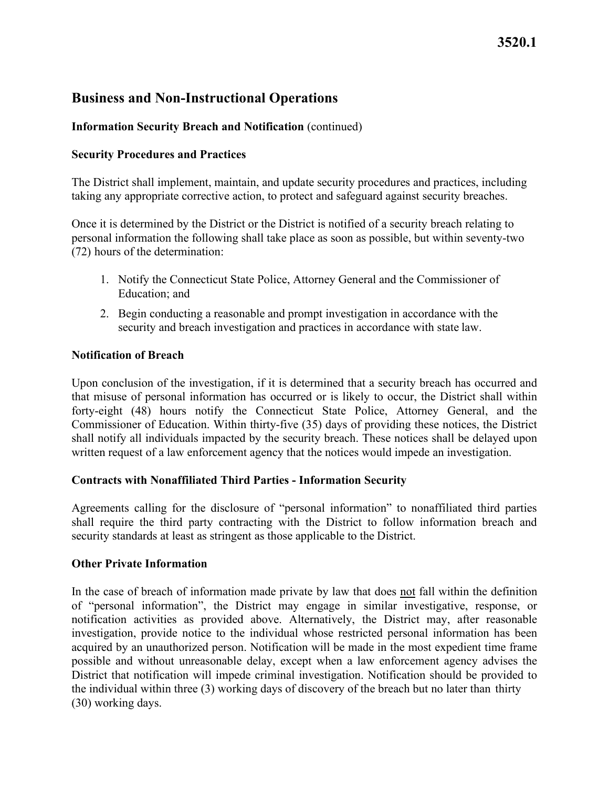# **3520.1**

## **Business and Non-Instructional Operations**

## **Information Security Breach and Notification** (continued)

#### **Security Procedures and Practices**

The District shall implement, maintain, and update security procedures and practices, including taking any appropriate corrective action, to protect and safeguard against security breaches.

 Once it is determined by the District or the District is notified of a security breach relating to personal information the following shall take place as soon as possible, but within seventy-two (72) hours of the determination:

- Education; and 1. Notify the Connecticut State Police, Attorney General and the Commissioner of
- 2. Begin conducting a reasonable and prompt investigation in accordance with the security and breach investigation and practices in accordance with state law.

#### **Notification of Breach**

 written request of a law enforcement agency that the notices would impede an investigation. Upon conclusion of the investigation, if it is determined that a security breach has occurred and that misuse of personal information has occurred or is likely to occur, the District shall within forty-eight (48) hours notify the Connecticut State Police, Attorney General, and the Commissioner of Education. Within thirty-five (35) days of providing these notices, the District shall notify all individuals impacted by the security breach. These notices shall be delayed upon

#### **Contracts with Nonaffiliated Third Parties - Information Security**

 Agreements calling for the disclosure of "personal information" to nonaffiliated third parties security standards at least as stringent as those applicable to the District. shall require the third party contracting with the District to follow information breach and

#### **Other Private Information**

In the case of breach of information made private by law that does <u>not</u> fall within the definition of "personal information", the District may engage in similar investigative, response, or notification activities as provided above. Alternatively, the District may, after reasonable investigation, provide notice to the individual whose restricted personal information has been acquired by an unauthorized person. Notification will be made in the most expedient time frame possible and without unreasonable delay, except when a law enforcement agency advises the District that notification will impede criminal investigation. Notification should be provided to the individual within three (3) working days of discovery of the breach but no later than thirty (30) working days.